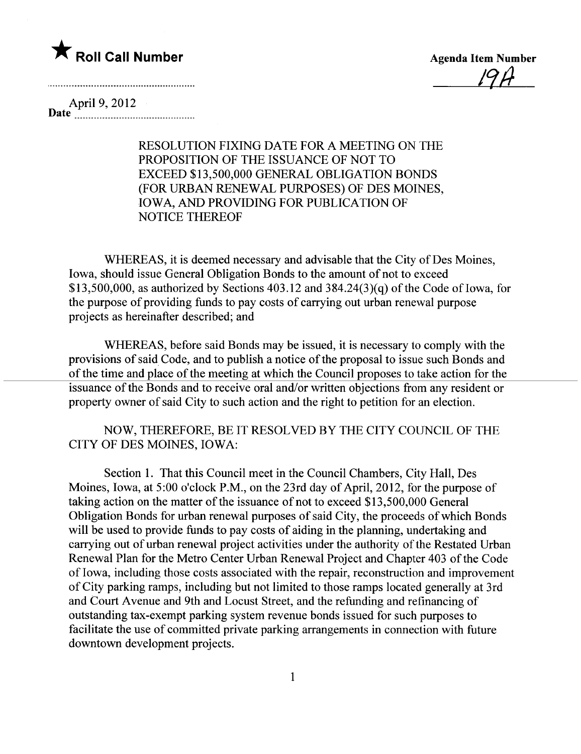

 $17F$ 

April 9, 2012 Date --------------------------------------------

> RESOLUTION FIXING DATE FOR A MEETING ON THE PROPOSITION OF THE ISSUANCE OF NOT TO EXCEED \$13,500,000 GENERAL OBLIGATION BONDS (FOR URBAN RENEWAL PURPOSES) OF DES MOINES, IOWA, AND PROVIDING FOR PUBLICATION OF NOTICE THEREOF

WHEREAS, it is deemed necessary and advisable that the City of Des Moines, Iowa, should issue General Obligation Bonds to the amount of not to exceed \$13,500,000, as authorized by Sections  $403.12$  and  $384.24(3)(q)$  of the Code of Iowa, for the purpose of providing funds to pay costs of carrying out urban renewal purpose projects as hereinafter described; and

WHEREAS, before said Bonds may be issued, it is necessary to comply with the provisions of said Code, and to publish a notice of the proposal to issue such Bonds and of the time and place of the meeting at which the Council proposes to take action for the issuance of the Bonds and to receive oral and/or written objections from any resident or property owner of said City to such action and the right to petition for an election.

NOW, THEREFORE, BE IT RESOLVED BY THE CITY COUNCIL OF THE CITY OF DES MOINES, IOWA:

Section 1. That this Council meet in the Council Chambers, City Hall, Des Moines, Iowa, at 5:00 o'clock P.M., on the 23rd day of April, 2012, for the purpose of taking action on the matter of the issuance of not to exceed \$13,500,000 General Obligation Bonds for urban renewal purposes of said City, the proceeds of which Bonds will be used to provide funds to pay costs of aiding in the planning, undertaking and carrying out of urban renewal project activities under the authority of the Restated Urban Renewal Plan for the Metro Center Urban Renewal Project and Chapter 403 of the Code of Iowa, including those costs associated with the repair, reconstruction and improvement of City parking ramps, including but not limited to those ramps located generally at 3rd and Court Avenue and 9th and Locust Street, and the refunding and refinancing of outstanding tax-exempt parking system revenue bonds issued for such purposes to faciltate the use of committed private parking arrangements in connection with future downtown development projects.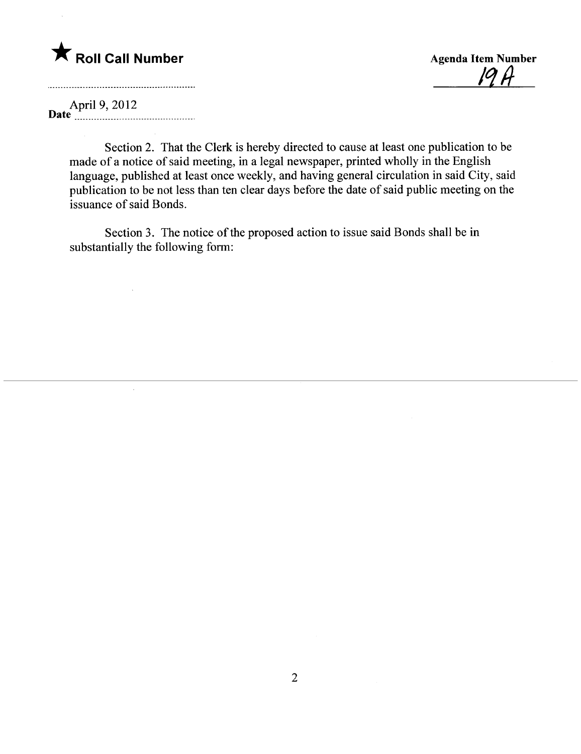## \* Roll Call Number Agenda Item Number

<u>IY H</u>

April 9, 2012 Date \_ \_ \_ \_ \_ \_ \_ \_ \_ \_ \_\_ \_ \_\_ \_ \_ \_\_\_ \_ \_\_\_\_\_\_ \_ \_ \_ \_ \_\_\_\_ \_ \_ \_ \_ \_ \_ \_\_.

 $\mathbf{r}$ 

Section 2. That the Clerk is hereby directed to cause at least one publication to be made of a notice of said meeting, in a legal newspaper, printed wholly in the English language, published at least once weekly, and having general circulation in said City, said publication to be not less than ten clear days before the date of said public meeting on the issuance of said Bonds.

Section 3. The notice of the proposed action to issue said Bonds shall be in substantially the following form: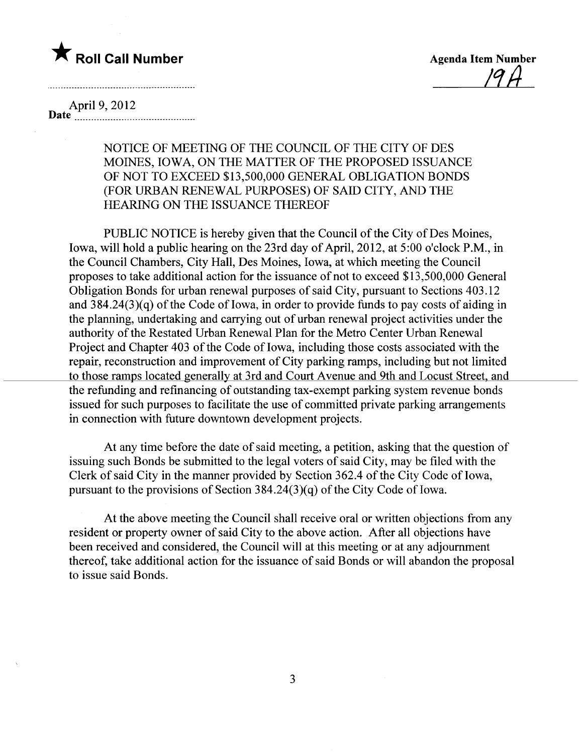

<u>| H</u>

April 9, 2012

Date  $\overline{\mathbf{L}}$ 

NOTICE OF MEETING OF THE COUNCIL OF THE CITY OF DES MOINES, IOWA, ON THE MATTER OF THE PROPOSED ISSUANCE OF NOT TO EXCEED \$13,500,000 GENERAL OBLIGATION BONDS (FOR URBAN RENEWAL PURPOSES) OF SAID CITY, AND THE HEARING ON THE ISSUANCE THEREOF

PUBLIC NOTICE is hereby given that the Council of the City of Des Moines, Iowa, will hold a public hearing on the 23rd day of April, 2012, at 5:00 o'clock P.M., in the Council Chambers, City Hall, Des Moines, Iowa, at which meeting the Council proposes to take additional action for the issuance of not to exceed \$13,500,000 General Obligation Bonds for urban renewal purposes of said City, pursuant to Sections 403.12 and  $384.24(3)(q)$  of the Code of Iowa, in order to provide funds to pay costs of aiding in the planning, undertaking and carrying out of urban renewal project activities under the authority of the Restated Urban Renewal Plan for the Metro Center Urban Renewal Project and Chapter 403 of the Code of Iowa, including those costs associated with the repair, reconstruction and improvement of City parking ramps, including but not limited to those ramps located generally at 3rd and Court Avenue and 9th and Locust Street, and the refunding and refinancing of outstanding tax-exempt parking system revenue bonds issued for such purposes to facilitate the use of committed private parking arrangements in connection with future downtown development projects.

At any time before the date of said meeting, a petition, asking that the question of issuing such Bonds be submitted to the legal voters of said City, may be fied with the Clerk of said City in the manner provided by Section 362.4 of the City Code of Iowa, pursuant to the provisions of Section  $384.24(3)(q)$  of the City Code of Iowa.

At the above meeting the Council shall receive oral or written objections from any resident or property owner of said City to the above action. After all objections have been received and considered, the Council will at this meeting or at any adjournment thereof, take additional action for the issuance of said Bonds or will abandon the proposal to issue said Bonds.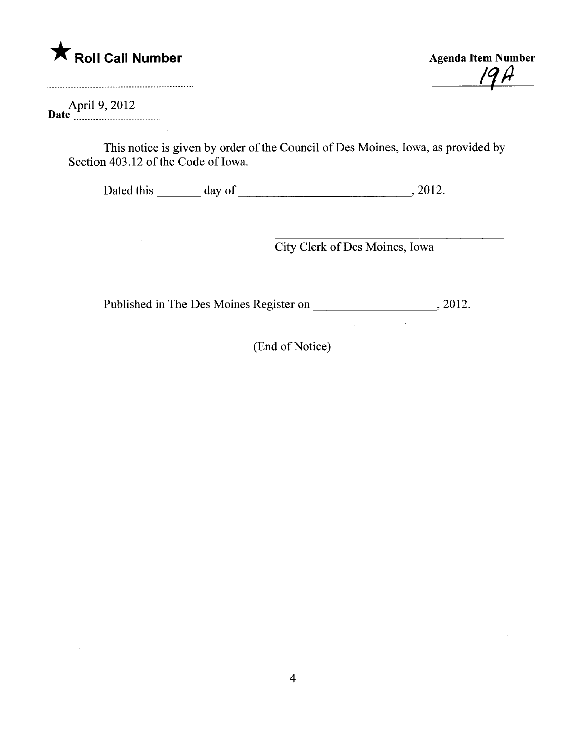

 $19H$ 

April 9, 2012 Date \_ \_ \_\_ \_ \_ \_ \_ \_ \_ \_ \_ \_ \_ \_ \_ \_ \_ \_\_\_ \_ \_ \_ \_ \_ \_ \_ \_ \_ \_ \_ \_ \_ \_ \_ \_ \_ \_ \_ \_ \_ \_\_

This notice is given by order of the Council of Des Moines, Iowa, as provided by Section 403.12 of the Code of Iowa.

Dated this  $\frac{day \text{ of } (x,y) \text{ of } (x,y) \text{ of } (x,y) \text{ of } (x,y) \text{ of } (x,y)$ 

City Clerk of Des Moines, Iowa

 $\sim 10^7$ 

 $\frac{1}{2}$ 

Published in The Des Moines Register on  $\frac{2012}{201}$ 

(End of Notice)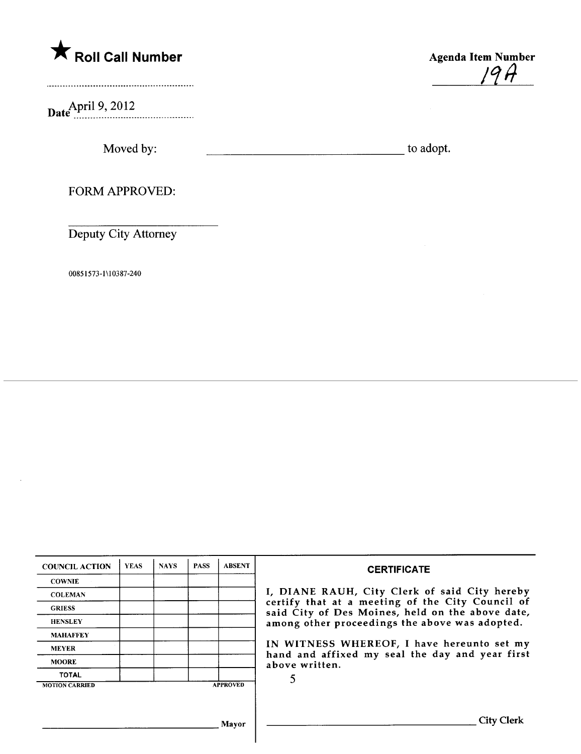

Date<sup>April 9, 2012</sup>



Moved by: to adopt.

FORM APPROVED:

Deputy City Attorney

00851573-1 \10387-240

| <b>COUNCIL ACTION</b> | <b>YEAS</b> | <b>NAYS</b> | <b>PASS</b> | <b>ABSENT</b>   | <b>CERTIFICATE</b>                                                                                                                                                                                                                                                                                                         |
|-----------------------|-------------|-------------|-------------|-----------------|----------------------------------------------------------------------------------------------------------------------------------------------------------------------------------------------------------------------------------------------------------------------------------------------------------------------------|
| <b>COWNIE</b>         |             |             |             |                 | I, DIANE RAUH, City Clerk of said City hereby<br>certify that at a meeting of the City Council of<br>said City of Des Moines, held on the above date,<br>among other proceedings the above was adopted.<br>IN WITNESS WHEREOF, I have hereunto set my<br>hand and affixed my seal the day and year first<br>above written. |
| <b>COLEMAN</b>        |             |             |             |                 |                                                                                                                                                                                                                                                                                                                            |
| <b>GRIESS</b>         |             |             |             |                 |                                                                                                                                                                                                                                                                                                                            |
| <b>HENSLEY</b>        |             |             |             |                 |                                                                                                                                                                                                                                                                                                                            |
| <b>MAHAFFEY</b>       |             |             |             |                 |                                                                                                                                                                                                                                                                                                                            |
| <b>MEYER</b>          |             |             |             |                 |                                                                                                                                                                                                                                                                                                                            |
| <b>MOORE</b>          |             |             |             |                 |                                                                                                                                                                                                                                                                                                                            |
| <b>TOTAL</b>          |             |             |             |                 |                                                                                                                                                                                                                                                                                                                            |
| <b>MOTION CARRIED</b> |             |             |             | <b>APPROVED</b> |                                                                                                                                                                                                                                                                                                                            |
|                       |             |             |             |                 |                                                                                                                                                                                                                                                                                                                            |
|                       |             |             |             |                 |                                                                                                                                                                                                                                                                                                                            |
|                       |             |             |             | Mavor           | City Clerk                                                                                                                                                                                                                                                                                                                 |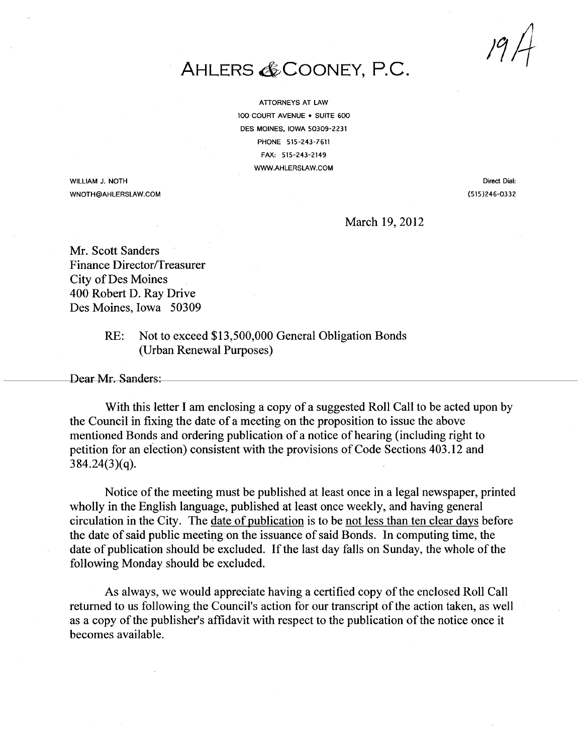$19/$ 

## AHLERS & COONEY, P.C.

ATTORNEYS AT LAW 100 COURT AVENUE . SUITE 600 DES MOINES, IOWA 50309-2231 PHONE 515-243-7611 FAX: 515-243-2149 WW.AHLERSLAW.COM

WILLIAM J. NOTH WNOTH@AHLERSLAW.COM

Direct Dial: (515)246-0332

March 19,2012

Mr. Scott Sanders Finance Director/Treasurer City of Des Moines 400 Robert D. Ray Drive Des Moines, Iowa 50309

> RE: Not to exceed \$13,500,000 General Obligation Bonds (Urban Renewal Purposes)

Dear Mr. Sanders:

With this letter I am enclosing a copy of a suggested Roll Call to be acted upon by the Council in fixing the date of a meeting on the proposition to issue the above mentioned Bonds and ordering publication of a notice of hearing (including right to petition for an election) consistent with the provisions of Code Sections 403.12 and 384.24(3)(q).

Notice of the meeting must be published at least once in a legal newspaper, printed wholly in the English language, published at least once weekly, and having general circulation in the City. The date of publication is to be not less than ten clear days before the date of said public meeting on the issuance of said Bonds. In computing time, the date of publication should be excluded. If the last day falls on Sunday, the whole of the following Monday should be excluded.

As always, we would appreciate having a certified copy of the enclosed Roll Call returned to us following the Council's action for our transcript of the action taken, as well as a copy of the publisher's affidavit with respect to the publication of the notice once it becomes available.